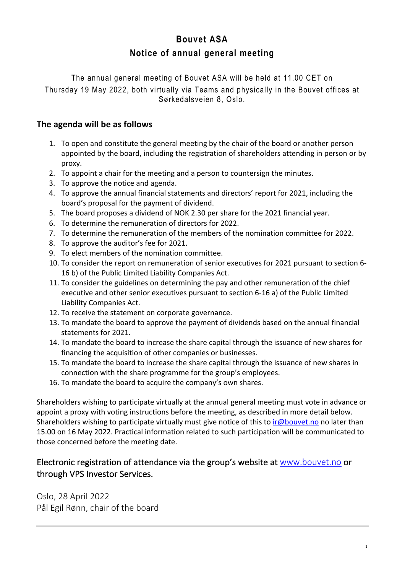# **Bouvet ASA Notice of annual general meeting**

The annual general meeting of Bouvet ASA will be held at 11.00 CET on Thursday 19 May 2022, both virtually via Teams and physically in the Bouvet offices at Sørkedalsveien 8, Oslo.

### **The agenda will be as follows**

- 1. To open and constitute the general meeting by the chair of the board or another person appointed by the board, including the registration of shareholders attending in person or by proxy.
- 2. To appoint a chair for the meeting and a person to countersign the minutes.
- 3. To approve the notice and agenda.
- 4. To approve the annual financial statements and directors' report for 2021, including the board's proposal for the payment of dividend.
- 5. The board proposes a dividend of NOK 2.30 per share for the 2021 financial year.
- 6. To determine the remuneration of directors for 2022.
- 7. To determine the remuneration of the members of the nomination committee for 2022.
- 8. To approve the auditor's fee for 2021.
- 9. To elect members of the nomination committee.
- 10. To consider the report on remuneration of senior executives for 2021 pursuant to section 6- 16 b) of the Public Limited Liability Companies Act.
- 11. To consider the guidelines on determining the pay and other remuneration of the chief executive and other senior executives pursuant to section 6-16 a) of the Public Limited Liability Companies Act.
- 12. To receive the statement on corporate governance.
- 13. To mandate the board to approve the payment of dividends based on the annual financial statements for 2021.
- 14. To mandate the board to increase the share capital through the issuance of new shares for financing the acquisition of other companies or businesses.
- 15. To mandate the board to increase the share capital through the issuance of new shares in connection with the share programme for the group's employees.
- 16. To mandate the board to acquire the company's own shares.

Shareholders wishing to participate virtually at the annual general meeting must vote in advance or appoint a proxy with voting instructions before the meeting, as described in more detail below. Shareholders wishing to participate virtually must give notice of this to ir@bouvet.no no later than 15.00 on 16 May 2022. Practical information related to such participation will be communicated to those concerned before the meeting date.

## Electronic registration of attendance via the group's website at www.bouvet.no or through VPS Investor Services.

Oslo, 28 April 2022 Pål Egil Rønn, chair of the board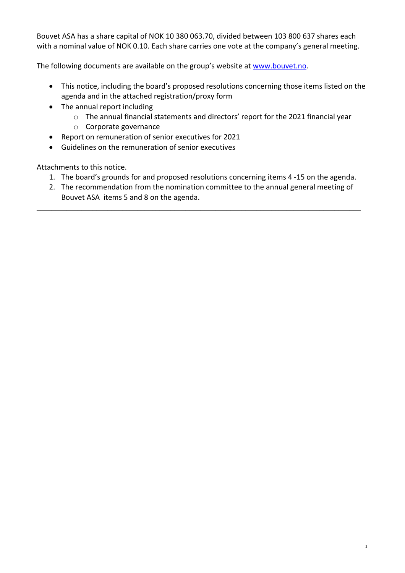Bouvet ASA has a share capital of NOK 10 380 063.70, divided between 103 800 637 shares each with a nominal value of NOK 0.10. Each share carries one vote at the company's general meeting.

The following documents are available on the group's website at www.bouvet.no.

- This notice, including the board's proposed resolutions concerning those items listed on the agenda and in the attached registration/proxy form
- The annual report including
	- o The annual financial statements and directors' report for the 2021 financial year
	- o Corporate governance
- Report on remuneration of senior executives for 2021
- Guidelines on the remuneration of senior executives

Attachments to this notice.

- 1. The board's grounds for and proposed resolutions concerning items 4 -15 on the agenda.
- 2. The recommendation from the nomination committee to the annual general meeting of Bouvet ASA items 5 and 8 on the agenda.

\_\_\_\_\_\_\_\_\_\_\_\_\_\_\_\_\_\_\_\_\_\_\_\_\_\_\_\_\_\_\_\_\_\_\_\_\_\_\_\_\_\_\_\_\_\_\_\_\_\_\_\_\_\_\_\_\_\_\_\_\_\_\_\_\_\_\_\_\_\_\_\_\_\_\_\_\_\_\_\_\_\_\_\_\_\_\_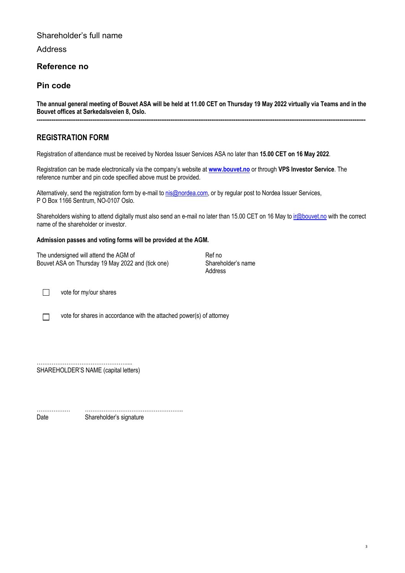#### Shareholder's full name

Address

#### **Reference no**

#### **Pin code**

**The annual general meeting of Bouvet ASA will be held at 11.00 CET on Thursday 19 May 2022 virtually via Teams and in the Bouvet offices at Sørkedalsveien 8, Oslo. ---------------------------------------------------------------------------------------------------------------------------------------------------------------------------------**

#### **REGISTRATION FORM**

Registration of attendance must be received by Nordea Issuer Services ASA no later than **15.00 CET on 16 May 2022**.

Registration can be made electronically via the company's website at **www.bouvet.no** or through **VPS Investor Service**. The reference number and pin code specified above must be provided.

Alternatively, send the registration form by e-mail to nis@nordea.com, or by regular post to Nordea Issuer Services, P O Box 1166 Sentrum, NO-0107 Oslo.

Shareholders wishing to attend digitally must also send an e-mail no later than 15.00 CET on 16 May to ir@bouvet.no with the correct name of the shareholder or investor.

#### **Admission passes and voting forms will be provided at the AGM.**

| The undersigned will attend the AGM of            | Ref no             |
|---------------------------------------------------|--------------------|
| Bouvet ASA on Thursday 19 May 2022 and (tick one) | Shareholder's name |
|                                                   | Address            |

vote for my/our shares

 $\Box$ 

 $\Box$ 

vote for shares in accordance with the attached power(s) of attorney

………………………………………….... SHAREHOLDER'S NAME (capital letters)

……………… …………………………………………….. Date Shareholder's signature

3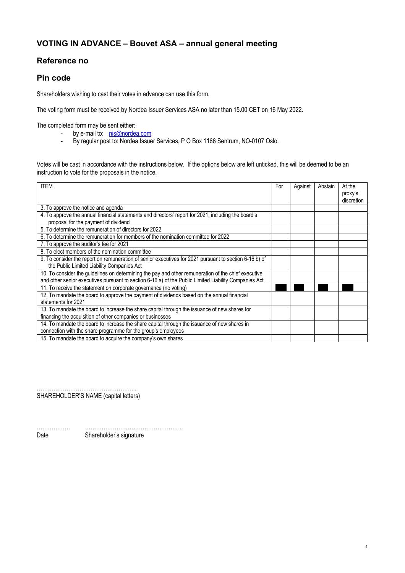### **VOTING IN ADVANCE – Bouvet ASA – annual general meeting**

#### **Reference no**

#### **Pin code**

Shareholders wishing to cast their votes in advance can use this form.

The voting form must be received by Nordea Issuer Services ASA no later than 15.00 CET on 16 May 2022.

The completed form may be sent either:

- by e-mail to: **nis@nordea.com**<br>- By regular post to: Nordea Issue
- By regular post to: Nordea Issuer Services, P O Box 1166 Sentrum, NO-0107 Oslo.

Votes will be cast in accordance with the instructions below. If the options below are left unticked, this will be deemed to be an instruction to vote for the proposals in the notice.

| <b>ITEM</b>                                                                                                                                                                                                  | For | Against | Abstain | At the<br>proxy's<br>discretion |
|--------------------------------------------------------------------------------------------------------------------------------------------------------------------------------------------------------------|-----|---------|---------|---------------------------------|
| 3. To approve the notice and agenda                                                                                                                                                                          |     |         |         |                                 |
| 4. To approve the annual financial statements and directors' report for 2021, including the board's<br>proposal for the payment of dividend                                                                  |     |         |         |                                 |
| 5. To determine the remuneration of directors for 2022                                                                                                                                                       |     |         |         |                                 |
| 6. To determine the remuneration for members of the nomination committee for 2022                                                                                                                            |     |         |         |                                 |
| 7. To approve the auditor's fee for 2021                                                                                                                                                                     |     |         |         |                                 |
| 8. To elect members of the nomination committee                                                                                                                                                              |     |         |         |                                 |
| 9. To consider the report on remuneration of senior executives for 2021 pursuant to section 6-16 b) of<br>the Public Limited Liability Companies Act                                                         |     |         |         |                                 |
| 10. To consider the guidelines on determining the pay and other remuneration of the chief executive<br>and other senior executives pursuant to section 6-16 a) of the Public Limited Liability Companies Act |     |         |         |                                 |
| 11. To receive the statement on corporate governance (no voting)                                                                                                                                             |     |         |         |                                 |
| 12. To mandate the board to approve the payment of dividends based on the annual financial<br>statements for 2021                                                                                            |     |         |         |                                 |
| 13. To mandate the board to increase the share capital through the issuance of new shares for<br>financing the acquisition of other companies or businesses                                                  |     |         |         |                                 |
| 14. To mandate the board to increase the share capital through the issuance of new shares in<br>connection with the share programme for the group's employees                                                |     |         |         |                                 |
| 15. To mandate the board to acquire the company's own shares                                                                                                                                                 |     |         |         |                                 |

4

…………………………………………….... SHAREHOLDER'S NAME (capital letters)

……………… …………………………………………….. Date Shareholder's signature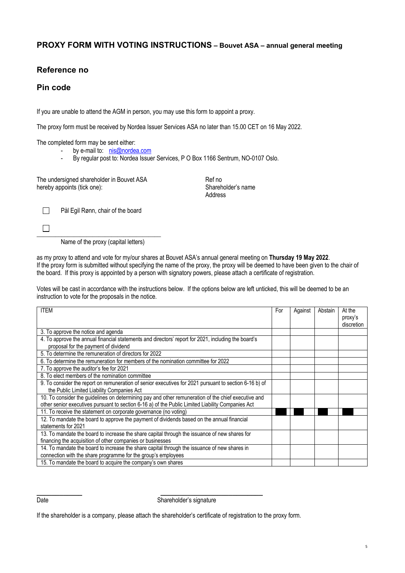#### **PROXY FORM WITH VOTING INSTRUCTIONS – Bouvet ASA – annual general meeting**

#### **Reference no**

#### **Pin code**

If you are unable to attend the AGM in person, you may use this form to appoint a proxy.

The proxy form must be received by Nordea Issuer Services ASA no later than 15.00 CET on 16 May 2022.

The completed form may be sent either:

- by e-mail to: nis@nordea.com
- By regular post to: Nordea Issuer Services, P O Box 1166 Sentrum, NO-0107 Oslo.

The undersigned shareholder in Bouvet ASA **Ref no**<br>
Ref no<br>
Shareholder's name hereby appoints (tick one):

Address



Pål Egil Rønn, chair of the board

Name of the proxy (capital letters)

as my proxy to attend and vote for my/our shares at Bouvet ASA's annual general meeting on **Thursday 19 May 2022**. If the proxy form is submitted without specifying the name of the proxy, the proxy will be deemed to have been given to the chair of the board. If this proxy is appointed by a person with signatory powers, please attach a certificate of registration.

Votes will be cast in accordance with the instructions below. If the options below are left unticked, this will be deemed to be an instruction to vote for the proposals in the notice.

| <b>ITEM</b>                                                                                                                                                                                              | For | Against | Abstain | At the<br>proxy's<br>discretion |
|----------------------------------------------------------------------------------------------------------------------------------------------------------------------------------------------------------|-----|---------|---------|---------------------------------|
| 3. To approve the notice and agenda                                                                                                                                                                      |     |         |         |                                 |
| 4. To approve the annual financial statements and directors' report for 2021, including the board's<br>proposal for the payment of dividend                                                              |     |         |         |                                 |
| 5. To determine the remuneration of directors for 2022                                                                                                                                                   |     |         |         |                                 |
| 6. To determine the remuneration for members of the nomination committee for 2022                                                                                                                        |     |         |         |                                 |
| 7. To approve the auditor's fee for 2021                                                                                                                                                                 |     |         |         |                                 |
| 8. To elect members of the nomination committee                                                                                                                                                          |     |         |         |                                 |
| 9. To consider the report on remuneration of senior executives for 2021 pursuant to section 6-16 b) of<br>the Public Limited Liability Companies Act                                                     |     |         |         |                                 |
| 10. To consider the guidelines on determining pay and other remuneration of the chief executive and<br>other senior executives pursuant to section 6-16 a) of the Public Limited Liability Companies Act |     |         |         |                                 |
| 11. To receive the statement on corporate governance (no voting)                                                                                                                                         |     |         |         |                                 |
| 12. To mandate the board to approve the payment of dividends based on the annual financial<br>statements for 2021                                                                                        |     |         |         |                                 |
| 13. To mandate the board to increase the share capital through the issuance of new shares for<br>financing the acquisition of other companies or businesses                                              |     |         |         |                                 |
| 14. To mandate the board to increase the share capital through the issuance of new shares in<br>connection with the share programme for the group's employees                                            |     |         |         |                                 |
| 15. To mandate the board to acquire the company's own shares                                                                                                                                             |     |         |         |                                 |

Date Shareholder's signature

If the shareholder is a company, please attach the shareholder's certificate of registration to the proxy form.

**\_\_\_\_\_\_\_\_\_\_\_\_ \_\_\_\_\_\_\_\_\_\_\_\_\_\_\_\_\_\_\_\_\_\_\_\_\_\_\_**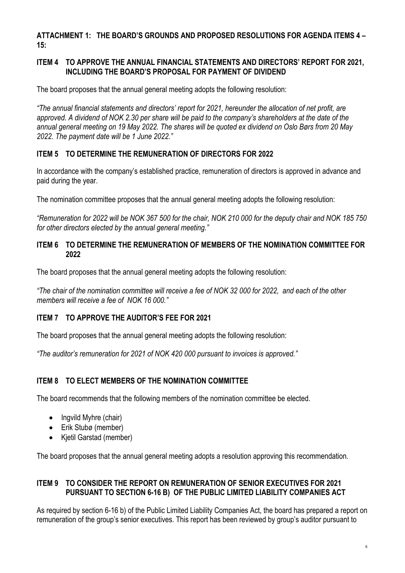**ATTACHMENT 1: THE BOARD'S GROUNDS AND PROPOSED RESOLUTIONS FOR AGENDA ITEMS 4 – 15:**

#### **ITEM 4 TO APPROVE THE ANNUAL FINANCIAL STATEMENTS AND DIRECTORS' REPORT FOR 2021, INCLUDING THE BOARD'S PROPOSAL FOR PAYMENT OF DIVIDEND**

The board proposes that the annual general meeting adopts the following resolution:

*"The annual financial statements and directors' report for 2021, hereunder the allocation of net profit, are approved. A dividend of NOK 2.30 per share will be paid to the company's shareholders at the date of the annual general meeting on 19 May 2022. The shares will be quoted ex dividend on Oslo Børs from 20 May 2022. The payment date will be 1 June 2022."*

#### **ITEM 5 TO DETERMINE THE REMUNERATION OF DIRECTORS FOR 2022**

In accordance with the company's established practice, remuneration of directors is approved in advance and paid during the year.

The nomination committee proposes that the annual general meeting adopts the following resolution:

*"Remuneration for 2022 will be NOK 367 500 for the chair, NOK 210 000 for the deputy chair and NOK 185 750 for other directors elected by the annual general meeting."*

#### **ITEM 6 TO DETERMINE THE REMUNERATION OF MEMBERS OF THE NOMINATION COMMITTEE FOR 2022**

The board proposes that the annual general meeting adopts the following resolution:

*"The chair of the nomination committee will receive a fee of NOK 32 000 for 2022, and each of the other members will receive a fee of NOK 16 000."*

#### **ITEM 7 TO APPROVE THE AUDITOR'S FEE FOR 2021**

The board proposes that the annual general meeting adopts the following resolution:

*"The auditor's remuneration for 2021 of NOK 420 000 pursuant to invoices is approved."*

#### **ITEM 8 TO ELECT MEMBERS OF THE NOMINATION COMMITTEE**

The board recommends that the following members of the nomination committee be elected.

- Ingvild Myhre (chair)
- Erik Stubø (member)
- Kjetil Garstad (member)

The board proposes that the annual general meeting adopts a resolution approving this recommendation.

#### **ITEM 9 TO CONSIDER THE REPORT ON REMUNERATION OF SENIOR EXECUTIVES FOR 2021 PURSUANT TO SECTION 6-16 B) OF THE PUBLIC LIMITED LIABILITY COMPANIES ACT**

As required by section 6-16 b) of the Public Limited Liability Companies Act, the board has prepared a report on remuneration of the group's senior executives. This report has been reviewed by group's auditor pursuant to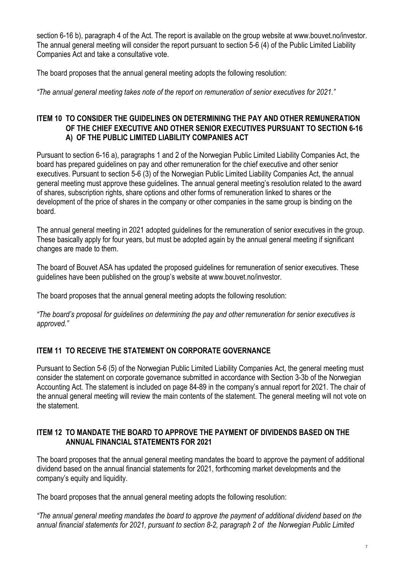section 6-16 b), paragraph 4 of the Act. The report is available on the group website at www.bouvet.no/investor. The annual general meeting will consider the report pursuant to section 5-6 (4) of the Public Limited Liability Companies Act and take a consultative vote.

The board proposes that the annual general meeting adopts the following resolution:

*"The annual general meeting takes note of the report on remuneration of senior executives for 2021."*

#### **ITEM 10 TO CONSIDER THE GUIDELINES ON DETERMINING THE PAY AND OTHER REMUNERATION OF THE CHIEF EXECUTIVE AND OTHER SENIOR EXECUTIVES PURSUANT TO SECTION 6-16 A) OF THE PUBLIC LIMITED LIABILITY COMPANIES ACT**

Pursuant to section 6-16 a), paragraphs 1 and 2 of the Norwegian Public Limited Liability Companies Act, the board has prepared guidelines on pay and other remuneration for the chief executive and other senior executives. Pursuant to section 5-6 (3) of the Norwegian Public Limited Liability Companies Act, the annual general meeting must approve these guidelines. The annual general meeting's resolution related to the award of shares, subscription rights, share options and other forms of remuneration linked to shares or the development of the price of shares in the company or other companies in the same group is binding on the board.

The annual general meeting in 2021 adopted guidelines for the remuneration of senior executives in the group. These basically apply for four years, but must be adopted again by the annual general meeting if significant changes are made to them.

The board of Bouvet ASA has updated the proposed guidelines for remuneration of senior executives. These guidelines have been published on the group's website at www.bouvet.no/investor.

The board proposes that the annual general meeting adopts the following resolution:

*"The board's proposal for guidelines on determining the pay and other remuneration for senior executives is approved."*

### **ITEM 11 TO RECEIVE THE STATEMENT ON CORPORATE GOVERNANCE**

Pursuant to Section 5-6 (5) of the Norwegian Public Limited Liability Companies Act, the general meeting must consider the statement on corporate governance submitted in accordance with Section 3-3b of the Norwegian Accounting Act. The statement is included on page 84-89 in the company's annual report for 2021. The chair of the annual general meeting will review the main contents of the statement. The general meeting will not vote on the statement.

#### **ITEM 12 TO MANDATE THE BOARD TO APPROVE THE PAYMENT OF DIVIDENDS BASED ON THE ANNUAL FINANCIAL STATEMENTS FOR 2021**

The board proposes that the annual general meeting mandates the board to approve the payment of additional dividend based on the annual financial statements for 2021, forthcoming market developments and the company's equity and liquidity.

The board proposes that the annual general meeting adopts the following resolution:

*"The annual general meeting mandates the board to approve the payment of additional dividend based on the annual financial statements for 2021, pursuant to section 8-2, paragraph 2 of the Norwegian Public Limited*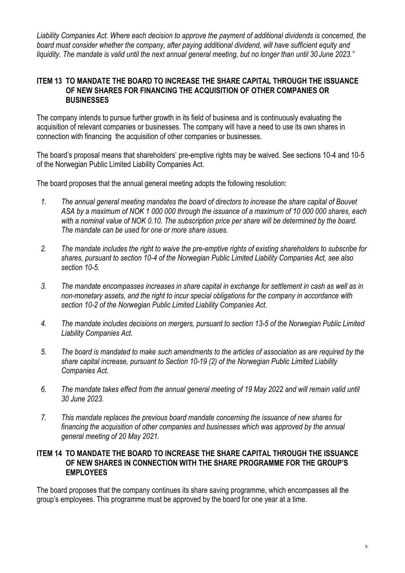*Liability Companies Act. Where each decision to approve the payment of additional dividends is concerned, the board must consider whether the company, after paying additional dividend, will have sufficient equity and liquidity. The mandate is valid until the next annual general meeting, but no longer than until 30 June 2023."*

#### **ITEM 13 TO MANDATE THE BOARD TO INCREASE THE SHARE CAPITAL THROUGH THE ISSUANCE OF NEW SHARES FOR FINANCING THE ACQUISITION OF OTHER COMPANIES OR BUSINESSES**

The company intends to pursue further growth in its field of business and is continuously evaluating the acquisition of relevant companies or businesses. The company will have a need to use its own shares in connection with financing the acquisition of other companies or businesses.

The board's proposal means that shareholders' pre-emptive rights may be waived. See sections 10-4 and 10-5 of the Norwegian Public Limited Liability Companies Act.

The board proposes that the annual general meeting adopts the following resolution:

- *1. The annual general meeting mandates the board of directors to increase the share capital of Bouvet ASA by a maximum of NOK 1 000 000 through the issuance of a maximum of 10 000 000 shares, each*  with a nominal value of NOK 0.10. The subscription price per share will be determined by the board. *The mandate can be used for one or more share issues.*
- *2. The mandate includes the right to waive the pre-emptive rights of existing shareholders to subscribe for shares, pursuant to section 10-4 of the Norwegian Public Limited Liability Companies Act, see also section 10-5.*
- *3. The mandate encompasses increases in share capital in exchange for settlement in cash as well as in non-monetary assets, and the right to incur special obligations for the company in accordance with section 10-2 of the Norwegian Public Limited Liability Companies Act.*
- *4. The mandate includes decisions on mergers, pursuant to section 13-5 of the Norwegian Public Limited Liability Companies Act.*
- *5. The board is mandated to make such amendments to the articles of association as are required by the share capital increase, pursuant to Section 10-19 (2) of the Norwegian Public Limited Liability Companies Act.*
- *6. The mandate takes effect from the annual general meeting of 19 May 2022 and will remain valid until 30 June 2023.*
- *7. This mandate replaces the previous board mandate concerning the issuance of new shares for financing the acquisition of other companies and businesses which was approved by the annual general meeting of 20 May 2021.*

#### **ITEM 14 TO MANDATE THE BOARD TO INCREASE THE SHARE CAPITAL THROUGH THE ISSUANCE OF NEW SHARES IN CONNECTION WITH THE SHARE PROGRAMME FOR THE GROUP'S EMPLOYEES**

The board proposes that the company continues its share saving programme, which encompasses all the group's employees. This programme must be approved by the board for one year at a time.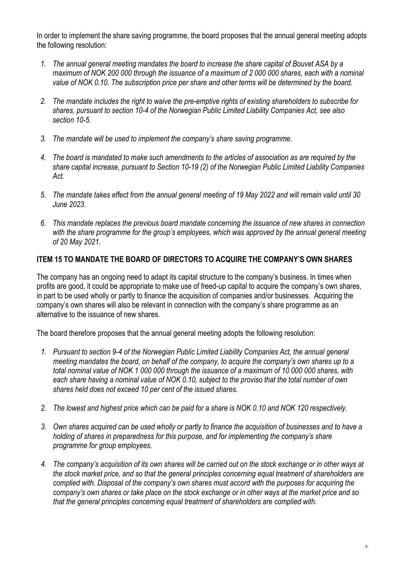In order to implement the share saving programme, the board proposes that the annual general meeting adopts the following resolution:

- *1. The annual general meeting mandates the board to increase the share capital of Bouvet ASA by a maximum of NOK 200 000 through the issuance of a maximum of 2 000 000 shares, each with a nominal value of NOK 0.10. The subscription price per share and other terms will be determined by the board.*
- *2. The mandate includes the right to waive the pre-emptive rights of existing shareholders to subscribe for shares, pursuant to section 10-4 of the Norwegian Public Limited Liability Companies Act, see also section 10-5.*
- *3. The mandate will be used to implement the company's share saving programme.*
- *4. The board is mandated to make such amendments to the articles of association as are required by the share capital increase, pursuant to Section 10-19 (2) of the Norwegian Public Limited Liability Companies Act.*
- *5. The mandate takes effect from the annual general meeting of 19 May 2022 and will remain valid until 30 June 2023.*
- *6. This mandate replaces the previous board mandate concerning the issuance of new shares in connection with the share programme for the group's employees, which was approved by the annual general meeting of 20 May 2021.*

#### **ITEM 15 TO MANDATE THE BOARD OF DIRECTORS TO ACQUIRE THE COMPANY'S OWN SHARES**

The company has an ongoing need to adapt its capital structure to the company's business. In times when profits are good, it could be appropriate to make use of freed-up capital to acquire the company's own shares, in part to be used wholly or partly to finance the acquisition of companies and/or businesses. Acquiring the company's own shares will also be relevant in connection with the company's share programme as an alternative to the issuance of new shares.

The board therefore proposes that the annual general meeting adopts the following resolution:

- *1. Pursuant to section 9-4 of the Norwegian Public Limited Liability Companies Act, the annual general meeting mandates the board, on behalf of the company, to acquire the company's own shares up to a total nominal value of NOK 1 000 000 through the issuance of a maximum of 10 000 000 shares, with each share having a nominal value of NOK 0.10, subject to the proviso that the total number of own shares held does not exceed 10 per cent of the issued shares.*
- *2. The lowest and highest price which can be paid for a share is NOK 0.10 and NOK 120 respectively.*
- *3. Own shares acquired can be used wholly or partly to finance the acquisition of businesses and to have a holding of shares in preparedness for this purpose, and for implementing the company's share programme for group employees.*
- *4. The company's acquisition of its own shares will be carried out on the stock exchange or in other ways at the stock market price, and so that the general principles concerning equal treatment of shareholders are complied with. Disposal of the company's own shares must accord with the purposes for acquiring the company's own shares or take place on the stock exchange or in other ways at the market price and so that the general principles concerning equal treatment of shareholders are complied with.*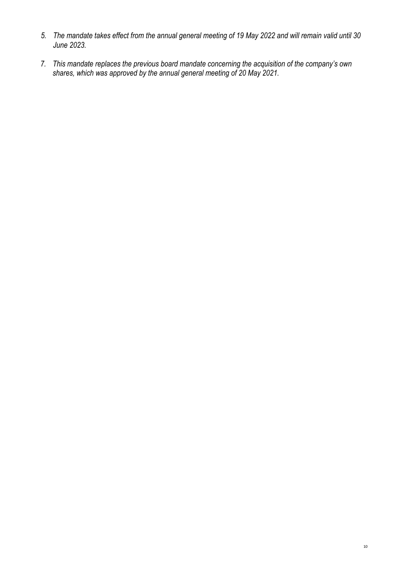- *5. The mandate takes effect from the annual general meeting of 19 May 2022 and will remain valid until 30 June 2023.*
- *7. This mandate replaces the previous board mandate concerning the acquisition of the company's own shares, which was approved by the annual general meeting of 20 May 2021.*